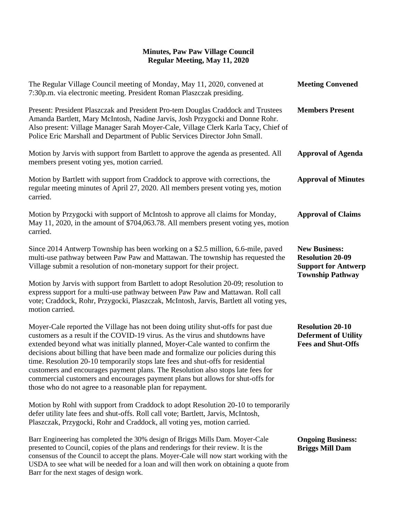## **Minutes, Paw Paw Village Council Regular Meeting, May 11, 2020**

| The Regular Village Council meeting of Monday, May 11, 2020, convened at<br>7:30p.m. via electronic meeting. President Roman Plaszczak presiding.                                                                                                                                                                                                                                                                                                                                                                                                                                                                                                              | <b>Meeting Convened</b>                                                                                  |
|----------------------------------------------------------------------------------------------------------------------------------------------------------------------------------------------------------------------------------------------------------------------------------------------------------------------------------------------------------------------------------------------------------------------------------------------------------------------------------------------------------------------------------------------------------------------------------------------------------------------------------------------------------------|----------------------------------------------------------------------------------------------------------|
| Present: President Plaszczak and President Pro-tem Douglas Craddock and Trustees<br>Amanda Bartlett, Mary McIntosh, Nadine Jarvis, Josh Przygocki and Donne Rohr.<br>Also present: Village Manager Sarah Moyer-Cale, Village Clerk Karla Tacy, Chief of<br>Police Eric Marshall and Department of Public Services Director John Small.                                                                                                                                                                                                                                                                                                                         | <b>Members Present</b>                                                                                   |
| Motion by Jarvis with support from Bartlett to approve the agenda as presented. All<br>members present voting yes, motion carried.                                                                                                                                                                                                                                                                                                                                                                                                                                                                                                                             | <b>Approval of Agenda</b>                                                                                |
| Motion by Bartlett with support from Craddock to approve with corrections, the<br>regular meeting minutes of April 27, 2020. All members present voting yes, motion<br>carried.                                                                                                                                                                                                                                                                                                                                                                                                                                                                                | <b>Approval of Minutes</b>                                                                               |
| Motion by Przygocki with support of McIntosh to approve all claims for Monday,<br>May 11, 2020, in the amount of \$704,063.78. All members present voting yes, motion<br>carried.                                                                                                                                                                                                                                                                                                                                                                                                                                                                              | <b>Approval of Claims</b>                                                                                |
| Since 2014 Antwerp Township has been working on a \$2.5 million, 6.6-mile, paved<br>multi-use pathway between Paw Paw and Mattawan. The township has requested the<br>Village submit a resolution of non-monetary support for their project.                                                                                                                                                                                                                                                                                                                                                                                                                   | <b>New Business:</b><br><b>Resolution 20-09</b><br><b>Support for Antwerp</b><br><b>Township Pathway</b> |
| Motion by Jarvis with support from Bartlett to adopt Resolution 20-09; resolution to<br>express support for a multi-use pathway between Paw Paw and Mattawan. Roll call<br>vote; Craddock, Rohr, Przygocki, Plaszczak, McIntosh, Jarvis, Bartlett all voting yes,<br>motion carried.                                                                                                                                                                                                                                                                                                                                                                           |                                                                                                          |
| Moyer-Cale reported the Village has not been doing utility shut-offs for past due<br>customers as a result if the COVID-19 virus. As the virus and shutdowns have<br>extended beyond what was initially planned, Moyer-Cale wanted to confirm the<br>decisions about billing that have been made and formalize our policies during this<br>time. Resolution 20-10 temporarily stops late fees and shut-offs for residential<br>customers and encourages payment plans. The Resolution also stops late fees for<br>commercial customers and encourages payment plans but allows for shut-offs for<br>those who do not agree to a reasonable plan for repayment. | <b>Resolution 20-10</b><br><b>Deferment of Utility</b><br><b>Fees and Shut-Offs</b>                      |
| Motion by Rohl with support from Craddock to adopt Resolution 20-10 to temporarily<br>defer utility late fees and shut-offs. Roll call vote; Bartlett, Jarvis, McIntosh,<br>Plaszczak, Przygocki, Rohr and Craddock, all voting yes, motion carried.                                                                                                                                                                                                                                                                                                                                                                                                           |                                                                                                          |
| Barr Engineering has completed the 30% design of Briggs Mills Dam. Moyer-Cale<br>presented to Council, copies of the plans and renderings for their review. It is the<br>consensus of the Council to accept the plans. Moyer-Cale will now start working with the                                                                                                                                                                                                                                                                                                                                                                                              | <b>Ongoing Business:</b><br><b>Briggs Mill Dam</b>                                                       |

USDA to see what will be needed for a loan and will then work on obtaining a quote from

Barr for the next stages of design work.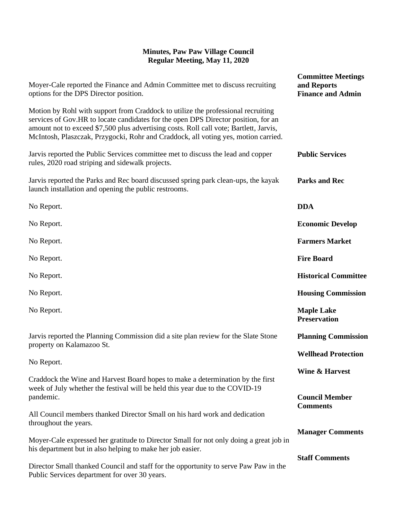## **Minutes, Paw Paw Village Council Regular Meeting, May 11, 2020**

| Moyer-Cale reported the Finance and Admin Committee met to discuss recruiting<br>options for the DPS Director position.                                                                                                                                                                                                                                | <b>Committee Meetings</b><br>and Reports<br><b>Finance and Admin</b> |
|--------------------------------------------------------------------------------------------------------------------------------------------------------------------------------------------------------------------------------------------------------------------------------------------------------------------------------------------------------|----------------------------------------------------------------------|
| Motion by Rohl with support from Craddock to utilize the professional recruiting<br>services of Gov.HR to locate candidates for the open DPS Director position, for an<br>amount not to exceed \$7,500 plus advertising costs. Roll call vote; Bartlett, Jarvis,<br>McIntosh, Plaszczak, Przygocki, Rohr and Craddock, all voting yes, motion carried. |                                                                      |
| Jarvis reported the Public Services committee met to discuss the lead and copper<br>rules, 2020 road striping and sidewalk projects.                                                                                                                                                                                                                   | <b>Public Services</b>                                               |
| Jarvis reported the Parks and Rec board discussed spring park clean-ups, the kayak<br>launch installation and opening the public restrooms.                                                                                                                                                                                                            | <b>Parks and Rec</b>                                                 |
| No Report.                                                                                                                                                                                                                                                                                                                                             | <b>DDA</b>                                                           |
| No Report.                                                                                                                                                                                                                                                                                                                                             | <b>Economic Develop</b>                                              |
| No Report.                                                                                                                                                                                                                                                                                                                                             | <b>Farmers Market</b>                                                |
| No Report.                                                                                                                                                                                                                                                                                                                                             | <b>Fire Board</b>                                                    |
| No Report.                                                                                                                                                                                                                                                                                                                                             | <b>Historical Committee</b>                                          |
| No Report.                                                                                                                                                                                                                                                                                                                                             | <b>Housing Commission</b>                                            |
| No Report.                                                                                                                                                                                                                                                                                                                                             | <b>Maple Lake</b><br><b>Preservation</b>                             |
| Jarvis reported the Planning Commission did a site plan review for the Slate Stone<br>property on Kalamazoo St.                                                                                                                                                                                                                                        | <b>Planning Commission</b>                                           |
| No Report.                                                                                                                                                                                                                                                                                                                                             | <b>Wellhead Protection</b>                                           |
| Craddock the Wine and Harvest Board hopes to make a determination by the first<br>week of July whether the festival will be held this year due to the COVID-19                                                                                                                                                                                         | <b>Wine &amp; Harvest</b>                                            |
| pandemic.                                                                                                                                                                                                                                                                                                                                              | <b>Council Member</b><br><b>Comments</b>                             |
| All Council members thanked Director Small on his hard work and dedication<br>throughout the years.                                                                                                                                                                                                                                                    |                                                                      |
| Moyer-Cale expressed her gratitude to Director Small for not only doing a great job in<br>his department but in also helping to make her job easier.                                                                                                                                                                                                   | <b>Manager Comments</b>                                              |
| Director Small thanked Council and staff for the opportunity to serve Paw Paw in the<br>Public Services department for over 30 years.                                                                                                                                                                                                                  | <b>Staff Comments</b>                                                |